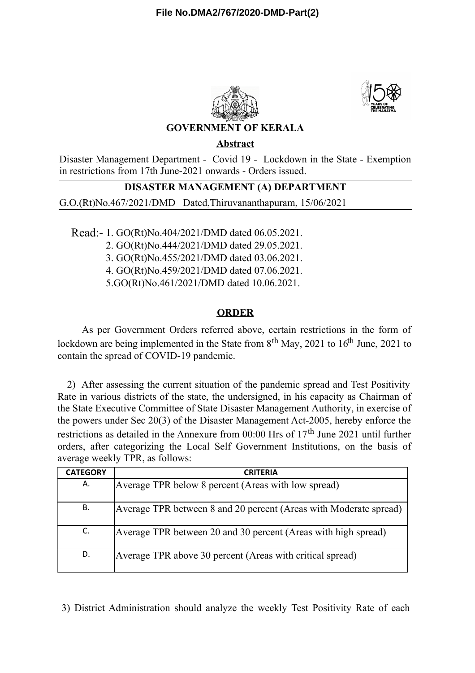



## **GOVERNMENT OF KERALA**

**Abstract**

Disaster Management Department - Covid 19 - Lockdown in the State - Exemption in restrictions from 17th June-2021 onwards - Orders issued.

## **DISASTER MANAGEMENT (A) DEPARTMENT**

G.O.(Rt)No.467/2021/DMD Dated,Thiruvananthapuram, 15/06/2021

Read:- 1. GO(Rt)No.404/2021/DMD dated 06.05.2021.

2. GO(Rt)No.444/2021/DMD dated 29.05.2021.

3. GO(Rt)No.455/2021/DMD dated 03.06.2021.

4. GO(Rt)No.459/2021/DMD dated 07.06.2021.

5.GO(Rt)No.461/2021/DMD dated 10.06.2021.

# **ORDER**

As per Government Orders referred above, certain restrictions in the form of lockdown are being implemented in the State from  $8<sup>th</sup>$  May, 2021 to 16<sup>th</sup> June, 2021 to contain the spread of COVID-19 pandemic.

2) After assessing the current situation of the pandemic spread and Test Positivity Rate in various districts of the state, the undersigned, in his capacity as Chairman of the State Executive Committee of State Disaster Management Authority, in exercise of the powers under Sec 20(3) of the Disaster Management Act-2005, hereby enforce the restrictions as detailed in the Annexure from 00:00 Hrs of 17<sup>th</sup> June 2021 until further orders, after categorizing the Local Self Government Institutions, on the basis of average weekly TPR, as follows:

| <b>CATEGORY</b> | <b>CRITERIA</b>                                                   |
|-----------------|-------------------------------------------------------------------|
| А.              | Average TPR below 8 percent (Areas with low spread)               |
| В.              | Average TPR between 8 and 20 percent (Areas with Moderate spread) |
| C.              | Average TPR between 20 and 30 percent (Areas with high spread)    |
| D.              | Average TPR above 30 percent (Areas with critical spread)         |

3) District Administration should analyze the weekly Test Positivity Rate of each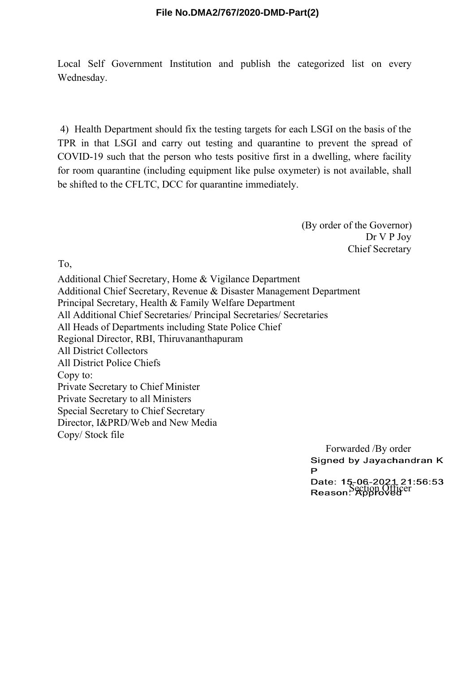Local Self Government Institution and publish the categorized list on every Wednesday.

4) Health Department should fix the testing targets for each LSGI on the basis of the TPR in that LSGI and carry out testing and quarantine to prevent the spread of COVID-19 such that the person who tests positive first in a dwelling, where facility for room quarantine (including equipment like pulse oxymeter) is not available, shall be shifted to the CFLTC, DCC for quarantine immediately.

> (By order of the Governor) Dr V P Joy Chief Secretary

To,

Additional Chief Secretary, Home & Vigilance Department Additional Chief Secretary, Revenue & Disaster Management Department Principal Secretary, Health & Family Welfare Department All Additional Chief Secretaries/ Principal Secretaries/ Secretaries All Heads of Departments including State Police Chief Regional Director, RBI, Thiruvananthapuram All District Collectors All District Police Chiefs Copy to: Private Secretary to Chief Minister Private Secretary to all Ministers Special Secretary to Chief Secretary Director, I&PRD/Web and New Media Copy/ Stock file

> Forwarded /By order<br>Signed by Jayachandran K P Date: 15-06-2021 21:56:53<br>Reason: Section Officer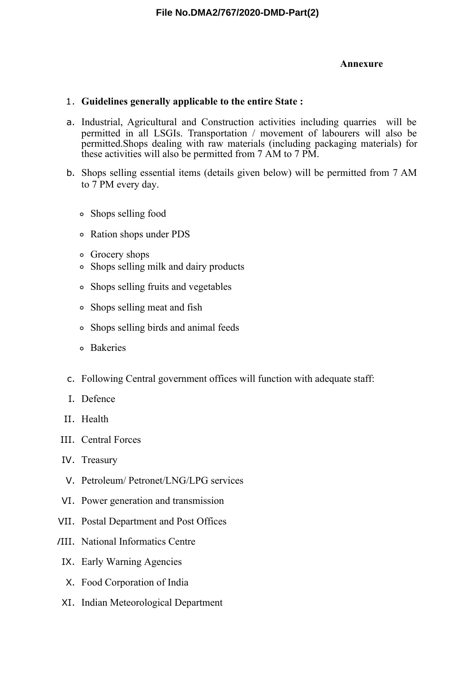### **Annexure**

### 1. **Guidelines generally applicable to the entire State :**

- a. Industrial, Agricultural and Construction activities including quarries will be permitted in all LSGIs. Transportation / movement of labourers will also be permitted.Shops dealing with raw materials (including packaging materials) for these activities will also be permitted from 7 AM to 7 PM.
- b. Shops selling essential items (details given below) will be permitted from 7 AM to 7 PM every day.
	- Shops selling food
	- Ration shops under PDS
	- Grocery shops
	- Shops selling milk and dairy products
	- Shops selling fruits and vegetables
	- Shops selling meat and fish
	- Shops selling birds and animal feeds
	- Bakeries
- c. Following Central government offices will function with adequate staff:
- I. Defence
- II. Health
- III. Central Forces
- IV. Treasury
- V. Petroleum/ Petronet/LNG/LPG services
- VI. Power generation and transmission
- VII. Postal Department and Post Offices
- VIII. National Informatics Centre
- IX. Early Warning Agencies
- X. Food Corporation of India
- XI. Indian Meteorological Department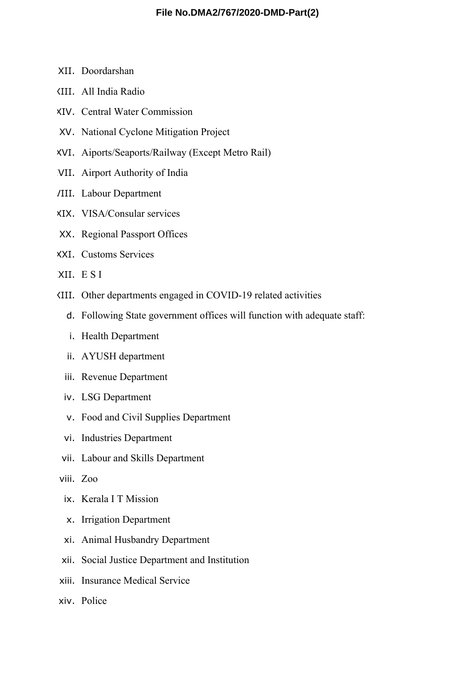- XII. Doordarshan
- XIII. All India Radio
- XIV. Central Water Commission
- XV. National Cyclone Mitigation Project
- XVI. Aiports/Seaports/Railway (Except Metro Rail)
- XVII. Airport Authority of India
- XVIII. Labour Department
- XIX. VISA/Consular services
- XX. Regional Passport Offices
- XXI. Customs Services
- XXII. E S I
- XXIII. Other departments engaged in COVID-19 related activities
	- d. Following State government offices will function with adequate staff:
	- i. Health Department
	- ii. AYUSH department
	- iii. Revenue Department
	- iv. LSG Department
	- v. Food and Civil Supplies Department
	- vi. Industries Department
- vii. Labour and Skills Department
- viii. Zoo
	- ix. Kerala I T Mission
	- x. Irrigation Department
	- xi. Animal Husbandry Department
- xii. Social Justice Department and Institution
- xiii. Insurance Medical Service
- xiv. Police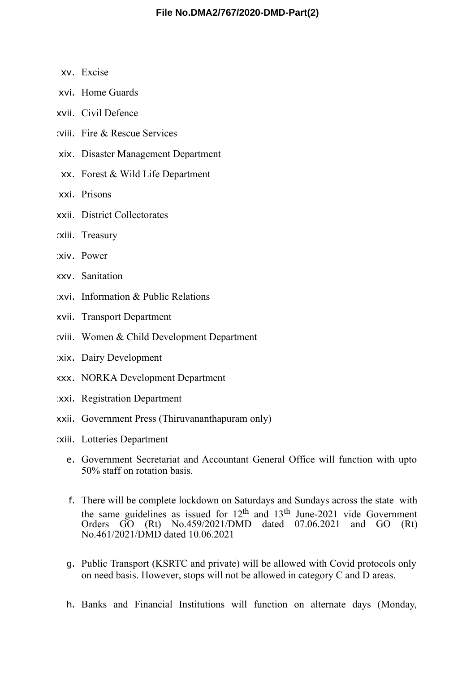- xv. Excise
- xvi. Home Guards
- xvii. Civil Defence
- xviii. Fire & Rescue Services
- xix. Disaster Management Department
- xx. Forest & Wild Life Department
- xxi. Prisons
- xxii. District Collectorates
- xxiii. Treasury
- xiv. Power
- xxv. Sanitation
- xxvi. Information & Public Relations
- xxvii. Transport Department
- xxviii. Women & Child Development Department
- xix. Dairy Development
- xxx. NORKA Development Department
- xxxi. Registration Department
- xxxii. Government Press (Thiruvananthapuram only)
- xxxiii. Lotteries Department
	- e. Government Secretariat and Accountant General Office will function with upto 50% staff on rotation basis.
	- f. There will be complete lockdown on Saturdays and Sundays across the state with the same guidelines as issued for  $12^{th}$  and  $13^{th}$  June-2021 vide Government Orders GO (Rt) No.459/2021/DMD dated 07.06.2021 and GO (Rt) No.461/2021/DMD dated 10.06.2021
	- g. Public Transport (KSRTC and private) will be allowed with Covid protocols only on need basis. However, stops will not be allowed in category C and D areas.
	- h. Banks and Financial Institutions will function on alternate days (Monday,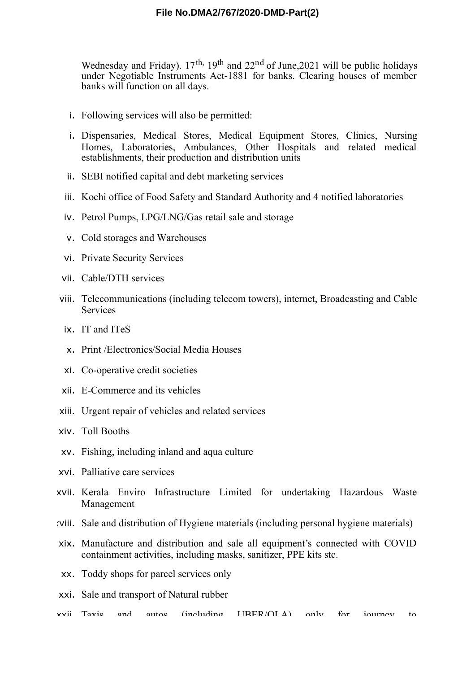Wednesday and Friday).  $17<sup>th</sup>$ ,  $19<sup>th</sup>$  and  $22<sup>nd</sup>$  of June, 2021 will be public holidays under Negotiable Instruments Act-1881 for banks. Clearing houses of member banks will function on all days.

- i. Following services will also be permitted:
- i. Dispensaries, Medical Stores, Medical Equipment Stores, Clinics, Nursing Homes, Laboratories, Ambulances, Other Hospitals and related medical establishments, their production and distribution units
- ii. SEBI notified capital and debt marketing services
- iii. Kochi office of Food Safety and Standard Authority and 4 notified laboratories
- iv. Petrol Pumps, LPG/LNG/Gas retail sale and storage
- v. Cold storages and Warehouses
- vi. Private Security Services
- vii. Cable/DTH services
- viii. Telecommunications (including telecom towers), internet, Broadcasting and Cable Services
	- ix. IT and ITeS
	- x. Print /Electronics/Social Media Houses
- xi. Co-operative credit societies
- xii. E-Commerce and its vehicles
- xiii. Urgent repair of vehicles and related services
- xiv. Toll Booths
- xv. Fishing, including inland and aqua culture
- xvi. Palliative care services
- xvii. Kerala Enviro Infrastructure Limited for undertaking Hazardous Waste Management
- xviii. Sale and distribution of Hygiene materials (including personal hygiene materials)
- xix. Manufacture and distribution and sale all equipment's connected with COVID containment activities, including masks, sanitizer, PPE kits stc.
- xx. Toddy shops for parcel services only
- xxi. Sale and transport of Natural rubber
- xxii. Taxis and autos (including UBER/OLA) only for journey to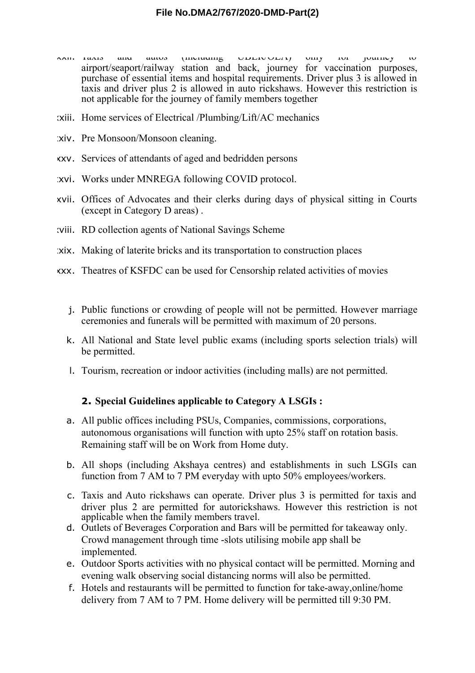- xxii. Taxis and autos (including UBER/OLA) only for journey to airport/seaport/railway station and back, journey for vaccination purposes, purchase of essential items and hospital requirements. Driver plus 3 is allowed in taxis and driver plus 2 is allowed in auto rickshaws. However this restriction is not applicable for the journey of family members together
- xxiii. Home services of Electrical /Plumbing/Lift/AC mechanics
- xxiv. Pre Monsoon/Monsoon cleaning.
- xxv. Services of attendants of aged and bedridden persons
- xxvi. Works under MNREGA following COVID protocol.
- xxvii. Offices of Advocates and their clerks during days of physical sitting in Courts (except in Category D areas) .
- viii. RD collection agents of National Savings Scheme
- xxix. Making of laterite bricks and its transportation to construction places
- xxx. Theatres of KSFDC can be used for Censorship related activities of movies
	- j. Public functions or crowding of people will not be permitted. However marriage ceremonies and funerals will be permitted with maximum of 20 persons.
	- k. All National and State level public exams (including sports selection trials) will be permitted.
	- l. Tourism, recreation or indoor activities (including malls) are not permitted.

#### **2. Special Guidelines applicable to Category A LSGIs :**

- a. All public offices including PSUs, Companies, commissions, corporations, autonomous organisations will function with upto 25% staff on rotation basis. Remaining staff will be on Work from Home duty.
- b. All shops (including Akshaya centres) and establishments in such LSGIs can function from 7 AM to 7 PM everyday with upto 50% employees/workers.
- c. Taxis and Auto rickshaws can operate. Driver plus 3 is permitted for taxis and driver plus 2 are permitted for autorickshaws. However this restriction is not applicable when the family members travel.
- d. Outlets of Beverages Corporation and Bars will be permitted for takeaway only. Crowd management through time -slots utilising mobile app shall be implemented.
- e. Outdoor Sports activities with no physical contact will be permitted. Morning and evening walk observing social distancing norms will also be permitted.
- f. Hotels and restaurants will be permitted to function for take-away,online/home delivery from 7 AM to 7 PM. Home delivery will be permitted till 9:30 PM.